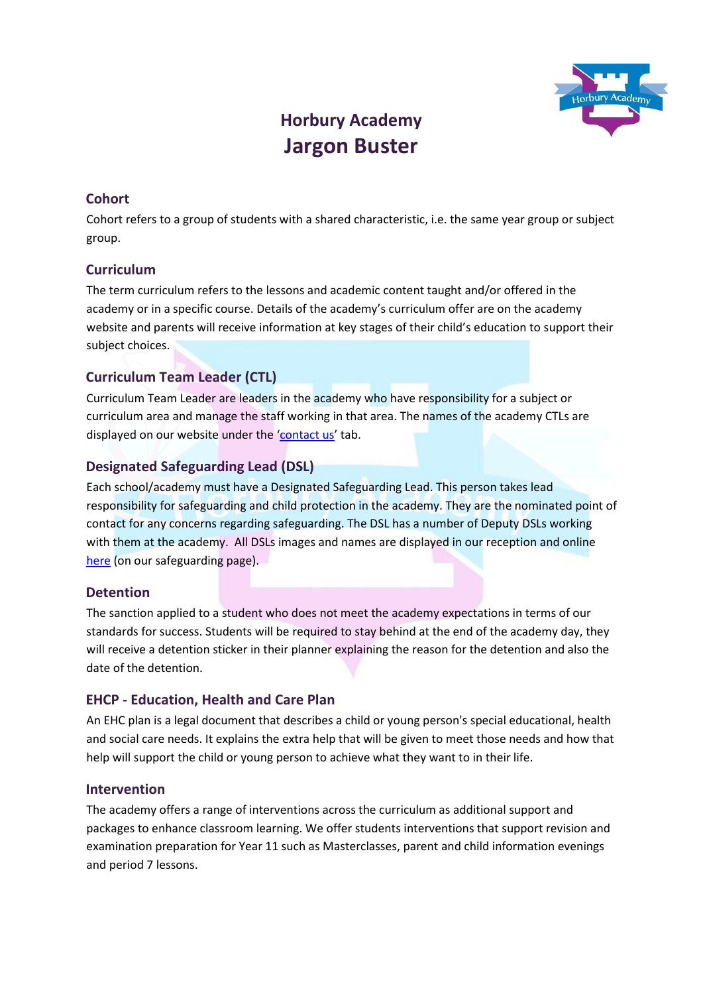

# **Horbury Academy Jargon Buster**

# **Cohort**

Cohort refers to a group of students with a shared characteristic, i.e. the same year group or subject group.

## **Curriculum**

The term curriculum refers to the lessons and academic content taught and/or offered in the academy or in a specific course. Details of the academy's curriculum offer are on the academy website and parents will receive information at key stages of their child's education to support their subject choices.

## **Curriculum Team Leader (CTL)**

Curriculum Team Leader are leaders in the academy who have responsibility for a subject or curriculum area and manage the staff working in that area. The names of the academy CTLs are displayed on our website under the '[contact us](https://horbury.accordmat.org/contactus/)' tab.

## **Designated Safeguarding Lead (DSL)**

Each school/academy must have a Designated Safeguarding Lead. This person takes lead responsibility for safeguarding and child protection in the academy. They are the nominated point of contact for any concerns regarding safeguarding. The DSL has a number of Deputy DSLs working with them at the academy. All DSLs images and names are displayed in our reception and online [here](https://horbury.accordmat.org/safeguarding/) (on our safeguarding page).

#### **Detention**

The sanction applied to a student who does not meet the academy expectations in terms of our standards for success. Students will be required to stay behind at the end of the academy day, they will receive a detention sticker in their planner explaining the reason for the detention and also the date of the detention.

#### **EHCP - Education, Health and Care Plan**

An EHC plan is a legal document that describes a child or young person's special educational, health and social care needs. It explains the extra help that will be given to meet those needs and how that help will support the child or young person to achieve what they want to in their life.

#### **Intervention**

The academy offers a range of interventions across the curriculum as additional support and packages to enhance classroom learning. We offer students interventions that support revision and examination preparation for Year 11 such as Masterclasses, parent and child information evenings and period 7 lessons.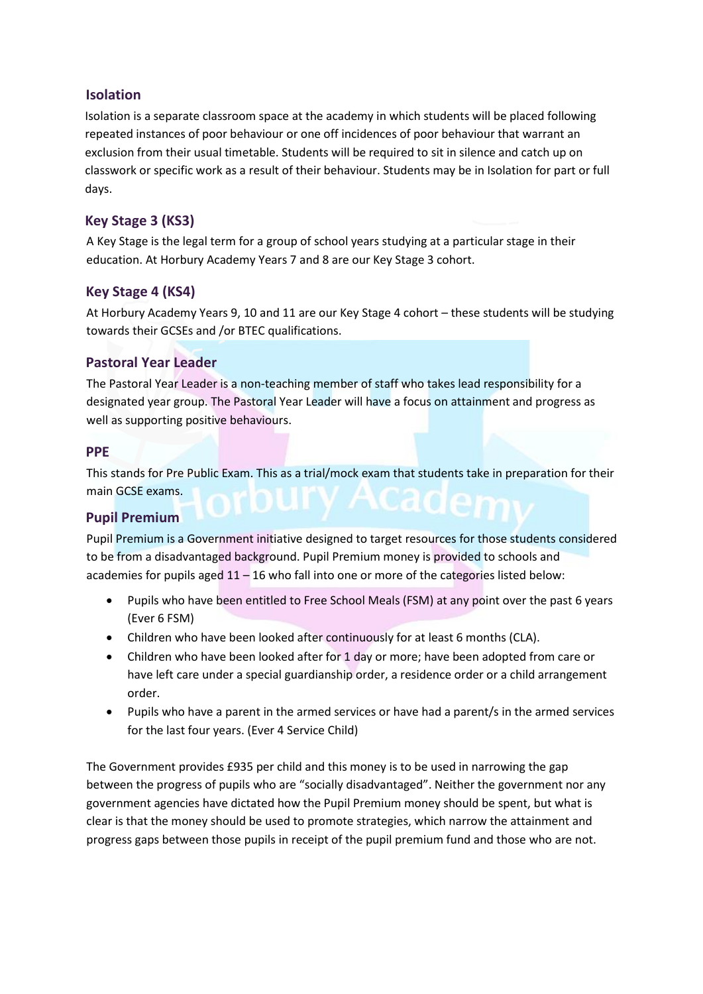# **Isolation**

Isolation is a separate classroom space at the academy in which students will be placed following repeated instances of poor behaviour or one off incidences of poor behaviour that warrant an exclusion from their usual timetable. Students will be required to sit in silence and catch up on classwork or specific work as a result of their behaviour. Students may be in Isolation for part or full days.

# **Key Stage 3 (KS3)**

A Key Stage is the legal term for a group of school years studying at a particular stage in their education. At Horbury Academy Years 7 and 8 are our Key Stage 3 cohort.

## **Key Stage 4 (KS4)**

At Horbury Academy Years 9, 10 and 11 are our Key Stage 4 cohort – these students will be studying towards their GCSEs and /or BTEC qualifications.

## **Pastoral Year Leader**

The Pastoral Year Leader is a non-teaching member of staff who takes lead responsibility for a designated year group. The Pastoral Year Leader will have a focus on attainment and progress as well as supporting positive behaviours.

#### **PPE**

This stands for Pre Public Exam. This as a trial/mock exam that students take in preparation for their main GCSE exams.

#### **Pupil Premium**

Pupil Premium is a Government initiative designed to target resources for those students considered to be from a disadvantaged background. Pupil Premium money is provided to schools and academies for pupils aged 11 – 16 who fall into one or more of the categories listed below:

- Pupils who have been entitled to Free School Meals (FSM) at any point over the past 6 years (Ever 6 FSM)
- Children who have been looked after continuously for at least 6 months (CLA).
- Children who have been looked after for 1 day or more; have been adopted from care or have left care under a special guardianship order, a residence order or a child arrangement order.
- Pupils who have a parent in the armed services or have had a parent/s in the armed services for the last four years. (Ever 4 Service Child)

The Government provides £935 per child and this money is to be used in narrowing the gap between the progress of pupils who are "socially disadvantaged". Neither the government nor any government agencies have dictated how the Pupil Premium money should be spent, but what is clear is that the money should be used to promote strategies, which narrow the attainment and progress gaps between those pupils in receipt of the pupil premium fund and those who are not.